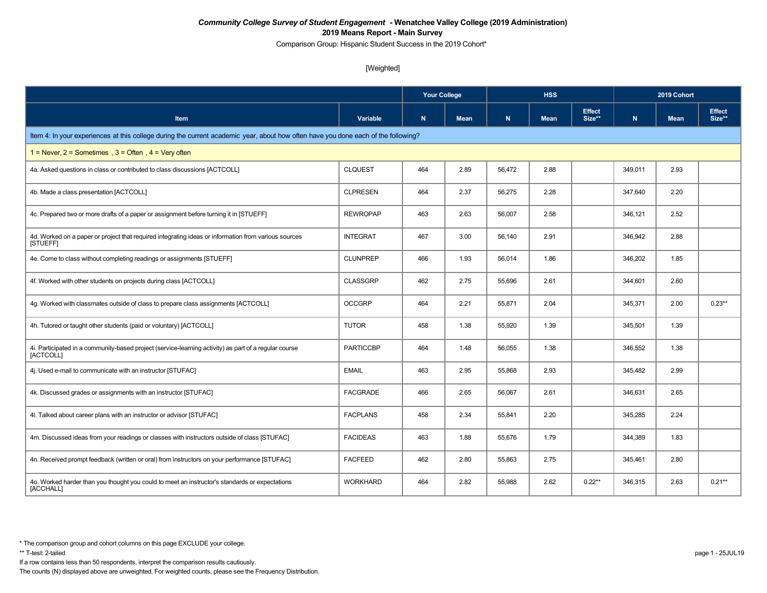Comparison Group: Hispanic Student Success in the 2019 Cohort\*

#### [Weighted]

|                                                                                                                                    |                  | <b>Your College</b> |             |             | <b>HSS</b>  |                         | 2019 Cohort |             |                         |
|------------------------------------------------------------------------------------------------------------------------------------|------------------|---------------------|-------------|-------------|-------------|-------------------------|-------------|-------------|-------------------------|
| Item                                                                                                                               | Variable         | ${\bf N}$           | <b>Mean</b> | $\mathbf N$ | <b>Mean</b> | <b>Effect</b><br>Size** | N           | <b>Mean</b> | <b>Effect</b><br>Size** |
| Item 4: In your experiences at this college during the current academic year, about how often have you done each of the following? |                  |                     |             |             |             |                         |             |             |                         |
| $1 =$ Never, $2 =$ Sometimes, $3 =$ Often, $4 =$ Very often                                                                        |                  |                     |             |             |             |                         |             |             |                         |
| 4a. Asked questions in class or contributed to class discussions [ACTCOLL]                                                         | <b>CLQUEST</b>   | 464                 | 2.89        | 56,472      | 2.88        |                         | 349,011     | 2.93        |                         |
| 4b. Made a class presentation [ACTCOLL]                                                                                            | <b>CLPRESEN</b>  | 464                 | 2.37        | 56,275      | 2.28        |                         | 347,640     | 2.20        |                         |
| 4c. Prepared two or more drafts of a paper or assignment before turning it in [STUEFF]                                             | <b>REWROPAP</b>  | 463                 | 2.63        | 56,007      | 2.58        |                         | 346,121     | 2.52        |                         |
| 4d. Worked on a paper or project that required integrating ideas or information from various sources<br>[STUEFF]                   | <b>INTEGRAT</b>  | 467                 | 3.00        | 56,140      | 2.91        |                         | 346,942     | 2.88        |                         |
| 4e. Come to class without completing readings or assignments [STUEFF]                                                              | <b>CLUNPREP</b>  | 466                 | 1.93        | 56,014      | 1.86        |                         | 346,202     | 1.85        |                         |
| 4f. Worked with other students on projects during class [ACTCOLL]                                                                  | <b>CLASSGRP</b>  | 462                 | 2.75        | 55,696      | 2.61        |                         | 344,601     | 2.60        |                         |
| 4g. Worked with classmates outside of class to prepare class assignments [ACTCOLL]                                                 | <b>OCCGRP</b>    | 464                 | 2.21        | 55,871      | 2.04        |                         | 345,371     | 2.00        | $0.23**$                |
| 4h. Tutored or taught other students (paid or voluntary) [ACTCOLL]                                                                 | <b>TUTOR</b>     | 458                 | 1.38        | 55,920      | 1.39        |                         | 345,501     | 1.39        |                         |
| 4i. Participated in a community-based project (service-learning activity) as part of a regular course<br>[ACTCOLL]                 | <b>PARTICCBP</b> | 464                 | 1.48        | 56,055      | 1.38        |                         | 346,552     | 1.38        |                         |
| 4j. Used e-mail to communicate with an instructor [STUFAC]                                                                         | <b>EMAIL</b>     | 463                 | 2.95        | 55,868      | 2.93        |                         | 345,482     | 2.99        |                         |
| 4k. Discussed grades or assignments with an instructor [STUFAC]                                                                    | <b>FACGRADE</b>  | 466                 | 2.65        | 56,067      | 2.61        |                         | 346,631     | 2.65        |                         |
| 4I. Talked about career plans with an instructor or advisor [STUFAC]                                                               | <b>FACPLANS</b>  | 458                 | 2.34        | 55,841      | 2.20        |                         | 345,285     | 2.24        |                         |
| 4m. Discussed ideas from your readings or classes with instructors outside of class [STUFAC]                                       | <b>FACIDEAS</b>  | 463                 | 1.88        | 55,676      | 1.79        |                         | 344,389     | 1.83        |                         |
| 4n. Received prompt feedback (written or oral) from instructors on your performance [STUFAC]                                       | <b>FACFEED</b>   | 462                 | 2.80        | 55,863      | 2.75        |                         | 345,461     | 2.80        |                         |
| 4o. Worked harder than you thought you could to meet an instructor's standards or expectations<br>[ACCHALL]                        | <b>WORKHARD</b>  | 464                 | 2.82        | 55,988      | 2.62        | $0.22**$                | 346,315     | 2.63        | $0.21**$                |

If a row contains less than 50 respondents, interpret the comparison results cautiously.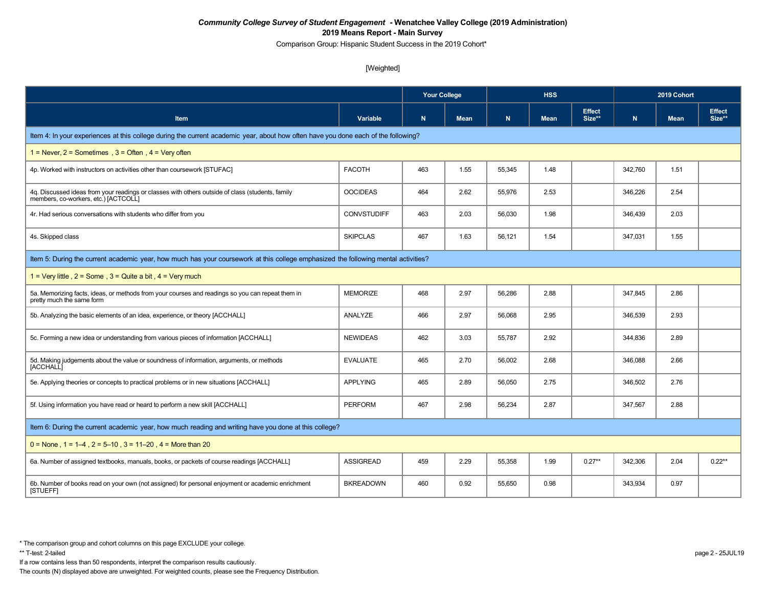Comparison Group: Hispanic Student Success in the 2019 Cohort\*

#### [Weighted]

|                                                                                                                                          |                    | <b>Your College</b> |             | <b>HSS</b> |             |                         | 2019 Cohort |             |                         |
|------------------------------------------------------------------------------------------------------------------------------------------|--------------------|---------------------|-------------|------------|-------------|-------------------------|-------------|-------------|-------------------------|
| <b>Item</b>                                                                                                                              | Variable           | $\mathbf N$         | <b>Mean</b> | N          | <b>Mean</b> | <b>Effect</b><br>Size** | N           | <b>Mean</b> | <b>Effect</b><br>Size** |
| Item 4: In your experiences at this college during the current academic year, about how often have you done each of the following?       |                    |                     |             |            |             |                         |             |             |                         |
| 1 = Never, $2$ = Sometimes, $3$ = Often, $4$ = Very often                                                                                |                    |                     |             |            |             |                         |             |             |                         |
| 4p. Worked with instructors on activities other than coursework [STUFAC]                                                                 | <b>FACOTH</b>      | 463                 | 1.55        | 55,345     | 1.48        |                         | 342,760     | 1.51        |                         |
| 4q. Discussed ideas from your readings or classes with others outside of class (students, family<br>members, co-workers, etc.) [ACTCOLL] | <b>OOCIDEAS</b>    | 464                 | 2.62        | 55,976     | 2.53        |                         | 346,226     | 2.54        |                         |
| 4r. Had serious conversations with students who differ from you                                                                          | <b>CONVSTUDIFF</b> | 463                 | 2.03        | 56,030     | 1.98        |                         | 346,439     | 2.03        |                         |
| 4s. Skipped class                                                                                                                        | <b>SKIPCLAS</b>    | 467                 | 1.63        | 56,121     | 1.54        |                         | 347,031     | 1.55        |                         |
| Item 5: During the current academic year, how much has your coursework at this college emphasized the following mental activities?       |                    |                     |             |            |             |                         |             |             |                         |
| 1 = Very little, $2 =$ Some, $3 =$ Quite a bit, $4 =$ Very much                                                                          |                    |                     |             |            |             |                         |             |             |                         |
| 5a. Memorizing facts, ideas, or methods from your courses and readings so you can repeat them in<br>pretty much the same form            | <b>MEMORIZE</b>    | 468                 | 2.97        | 56,286     | 2.88        |                         | 347,845     | 2.86        |                         |
| 5b. Analyzing the basic elements of an idea, experience, or theory [ACCHALL]                                                             | ANALYZE            | 466                 | 2.97        | 56,068     | 2.95        |                         | 346,539     | 2.93        |                         |
| 5c. Forming a new idea or understanding from various pieces of information [ACCHALL]                                                     | <b>NEWIDEAS</b>    | 462                 | 3.03        | 55,787     | 2.92        |                         | 344,836     | 2.89        |                         |
| 5d. Making judgements about the value or soundness of information, arguments, or methods<br>[ACCHALL]                                    | <b>EVALUATE</b>    | 465                 | 2.70        | 56,002     | 2.68        |                         | 346,088     | 2.66        |                         |
| 5e. Applying theories or concepts to practical problems or in new situations [ACCHALL]                                                   | <b>APPLYING</b>    | 465                 | 2.89        | 56,050     | 2.75        |                         | 346,502     | 2.76        |                         |
| 5f. Using information you have read or heard to perform a new skill [ACCHALL]                                                            | <b>PERFORM</b>     | 467                 | 2.98        | 56,234     | 2.87        |                         | 347,567     | 2.88        |                         |
| Item 6: During the current academic year, how much reading and writing have you done at this college?                                    |                    |                     |             |            |             |                         |             |             |                         |
| $0 =$ None, 1 = 1–4, 2 = 5–10, 3 = 11–20, 4 = More than 20                                                                               |                    |                     |             |            |             |                         |             |             |                         |
| 6a. Number of assigned textbooks, manuals, books, or packets of course readings [ACCHALL]                                                | <b>ASSIGREAD</b>   | 459                 | 2.29        | 55,358     | 1.99        | $0.27**$                | 342,306     | 2.04        | $0.22**$                |
| 6b. Number of books read on your own (not assigned) for personal enjoyment or academic enrichment<br>[STUEFF]                            | <b>BKREADOWN</b>   | 460                 | 0.92        | 55,650     | 0.98        |                         | 343,934     | 0.97        |                         |

If a row contains less than 50 respondents, interpret the comparison results cautiously.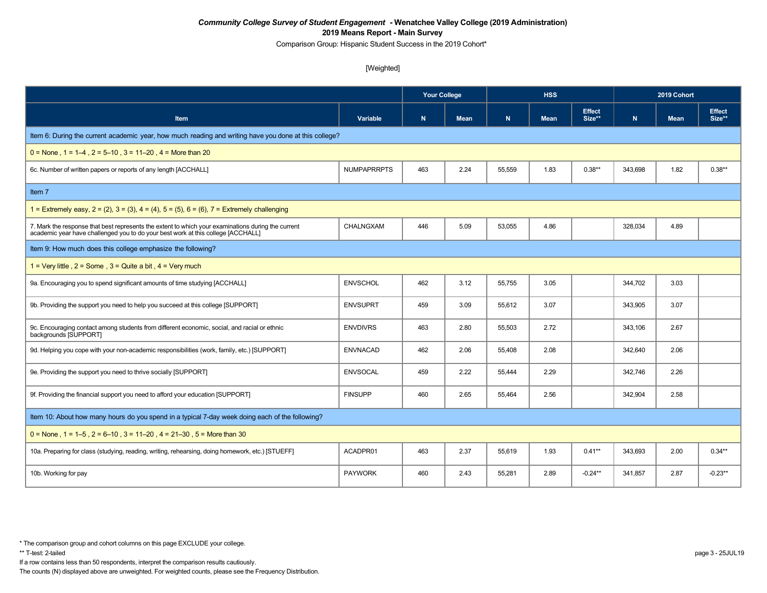Comparison Group: Hispanic Student Success in the 2019 Cohort\*

[Weighted]

|                                                                                                                                                                                        |                    | <b>Your College</b> |             | <b>HSS</b> |             |                         | 2019 Cohort |             |                         |
|----------------------------------------------------------------------------------------------------------------------------------------------------------------------------------------|--------------------|---------------------|-------------|------------|-------------|-------------------------|-------------|-------------|-------------------------|
| <b>Item</b>                                                                                                                                                                            | Variable           | $\mathbf N$         | <b>Mean</b> | N          | <b>Mean</b> | <b>Effect</b><br>Size** | $\mathbf N$ | <b>Mean</b> | <b>Effect</b><br>Size** |
| Item 6: During the current academic year, how much reading and writing have you done at this college?                                                                                  |                    |                     |             |            |             |                         |             |             |                         |
| $0 =$ None, 1 = 1–4, 2 = 5–10, 3 = 11–20, 4 = More than 20                                                                                                                             |                    |                     |             |            |             |                         |             |             |                         |
| 6c. Number of written papers or reports of any length [ACCHALL]                                                                                                                        | <b>NUMPAPRRPTS</b> | 463                 | 2.24        | 55,559     | 1.83        | $0.38**$                | 343.698     | 1.82        | $0.38**$                |
| Item 7                                                                                                                                                                                 |                    |                     |             |            |             |                         |             |             |                         |
| 1 = Extremely easy, $2 = (2)$ , $3 = (3)$ , $4 = (4)$ , $5 = (5)$ , $6 = (6)$ , $7 =$ Extremely challenging                                                                            |                    |                     |             |            |             |                         |             |             |                         |
| 7. Mark the response that best represents the extent to which your examinations during the current<br>academic year have challenged you to do your best work at this college [ACCHALL] | CHALNGXAM          | 446                 | 5.09        | 53,055     | 4.86        |                         | 328,034     | 4.89        |                         |
| Item 9: How much does this college emphasize the following?                                                                                                                            |                    |                     |             |            |             |                         |             |             |                         |
| $1 = \text{Very little }$ , $2 = \text{Some }$ , $3 = \text{Quite }$ a bit, $4 = \text{Very much}$                                                                                     |                    |                     |             |            |             |                         |             |             |                         |
| 9a. Encouraging you to spend significant amounts of time studying [ACCHALL]                                                                                                            | <b>ENVSCHOL</b>    | 462                 | 3.12        | 55,755     | 3.05        |                         | 344,702     | 3.03        |                         |
| 9b. Providing the support you need to help you succeed at this college [SUPPORT]                                                                                                       | <b>ENVSUPRT</b>    | 459                 | 3.09        | 55,612     | 3.07        |                         | 343,905     | 3.07        |                         |
| 9c. Encouraging contact among students from different economic, social, and racial or ethnic<br>backgrounds [SUPPORT]                                                                  | <b>ENVDIVRS</b>    | 463                 | 2.80        | 55,503     | 2.72        |                         | 343,106     | 2.67        |                         |
| 9d. Helping you cope with your non-academic responsibilities (work, family, etc.) [SUPPORT]                                                                                            | <b>ENVNACAD</b>    | 462                 | 2.06        | 55,408     | 2.08        |                         | 342,640     | 2.06        |                         |
| 9e. Providing the support you need to thrive socially [SUPPORT]                                                                                                                        | <b>ENVSOCAL</b>    | 459                 | 2.22        | 55.444     | 2.29        |                         | 342,746     | 2.26        |                         |
| 9f. Providing the financial support you need to afford your education [SUPPORT]                                                                                                        | <b>FINSUPP</b>     | 460                 | 2.65        | 55,464     | 2.56        |                         | 342,904     | 2.58        |                         |
| Item 10: About how many hours do you spend in a typical 7-day week doing each of the following?                                                                                        |                    |                     |             |            |             |                         |             |             |                         |
| $0 =$ None, 1 = 1–5, 2 = 6–10, 3 = 11–20, 4 = 21–30, 5 = More than 30                                                                                                                  |                    |                     |             |            |             |                         |             |             |                         |
| 10a. Preparing for class (studying, reading, writing, rehearsing, doing homework, etc.) [STUEFF]                                                                                       | ACADPR01           | 463                 | 2.37        | 55,619     | 1.93        | $0.41**$                | 343,693     | 2.00        | $0.34**$                |
| 10b. Working for pay                                                                                                                                                                   | <b>PAYWORK</b>     | 460                 | 2.43        | 55,281     | 2.89        | $-0.24**$               | 341,857     | 2.87        | $-0.23**$               |

If a row contains less than 50 respondents, interpret the comparison results cautiously.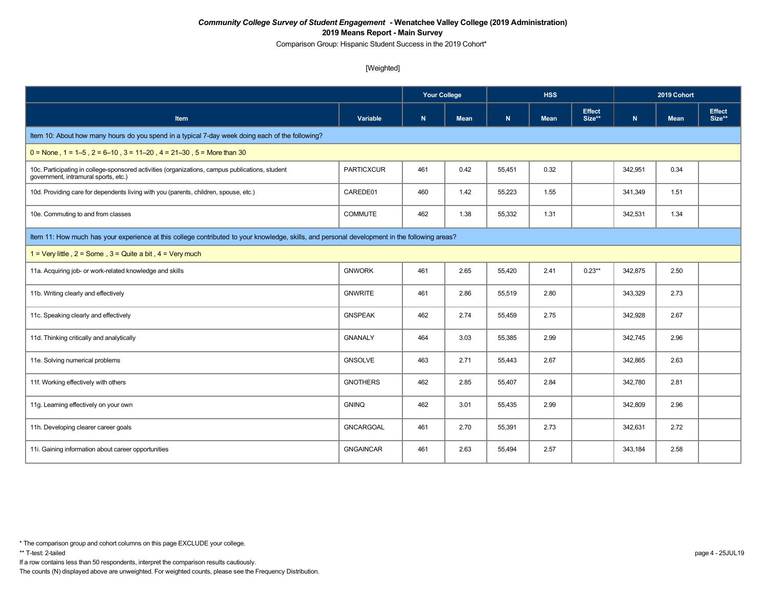Comparison Group: Hispanic Student Success in the 2019 Cohort\*

#### [Weighted]

|                                                                                                                                               |                   | <b>Your College</b> |             |        | <b>HSS</b>  |                         | 2019 Cohort |             |                         |  |
|-----------------------------------------------------------------------------------------------------------------------------------------------|-------------------|---------------------|-------------|--------|-------------|-------------------------|-------------|-------------|-------------------------|--|
| Item                                                                                                                                          | <b>Variable</b>   | N                   | <b>Mean</b> | N      | <b>Mean</b> | <b>Effect</b><br>Size** | N           | <b>Mean</b> | <b>Effect</b><br>Size** |  |
| Item 10: About how many hours do you spend in a typical 7-day week doing each of the following?                                               |                   |                     |             |        |             |                         |             |             |                         |  |
| $0 =$ None, 1 = 1–5, 2 = 6–10, 3 = 11–20, 4 = 21–30, 5 = More than 30                                                                         |                   |                     |             |        |             |                         |             |             |                         |  |
| 10c. Participating in college-sponsored activities (organizations, campus publications, student<br>government, intramural sports, etc.)       | <b>PARTICXCUR</b> | 461                 | 0.42        | 55,451 | 0.32        |                         | 342,951     | 0.34        |                         |  |
| 10d. Providing care for dependents living with you (parents, children, spouse, etc.)                                                          | CAREDE01          | 460                 | 1.42        | 55,223 | 1.55        |                         | 341,349     | 1.51        |                         |  |
| 10e. Commuting to and from classes                                                                                                            | <b>COMMUTE</b>    | 462                 | 1.38        | 55,332 | 1.31        |                         | 342,531     | 1.34        |                         |  |
| Item 11: How much has your experience at this college contributed to your knowledge, skills, and personal development in the following areas? |                   |                     |             |        |             |                         |             |             |                         |  |
| 1 = Very little, $2 =$ Some, $3 =$ Quite a bit, $4 =$ Very much                                                                               |                   |                     |             |        |             |                         |             |             |                         |  |
| 11a. Acquiring job- or work-related knowledge and skills                                                                                      | <b>GNWORK</b>     | 461                 | 2.65        | 55,420 | 2.41        | $0.23**$                | 342,875     | 2.50        |                         |  |
| 11b. Writing clearly and effectively                                                                                                          | <b>GNWRITE</b>    | 461                 | 2.86        | 55,519 | 2.80        |                         | 343,329     | 2.73        |                         |  |
| 11c. Speaking clearly and effectively                                                                                                         | <b>GNSPEAK</b>    | 462                 | 2.74        | 55,459 | 2.75        |                         | 342,928     | 2.67        |                         |  |
| 11d. Thinking critically and analytically                                                                                                     | <b>GNANALY</b>    | 464                 | 3.03        | 55,385 | 2.99        |                         | 342,745     | 2.96        |                         |  |
| 11e. Solving numerical problems                                                                                                               | <b>GNSOLVE</b>    | 463                 | 2.71        | 55,443 | 2.67        |                         | 342,865     | 2.63        |                         |  |
| 11f. Working effectively with others                                                                                                          | <b>GNOTHERS</b>   | 462                 | 2.85        | 55,407 | 2.84        |                         | 342,780     | 2.81        |                         |  |
| 11g. Learning effectively on your own                                                                                                         | <b>GNINQ</b>      | 462                 | 3.01        | 55,435 | 2.99        |                         | 342,809     | 2.96        |                         |  |
| 11h. Developing clearer career goals                                                                                                          | <b>GNCARGOAL</b>  | 461                 | 2.70        | 55,391 | 2.73        |                         | 342,631     | 2.72        |                         |  |
| 11i. Gaining information about career opportunities                                                                                           | <b>GNGAINCAR</b>  | 461                 | 2.63        | 55,494 | 2.57        |                         | 343,184     | 2.58        |                         |  |

If a row contains less than 50 respondents, interpret the comparison results cautiously.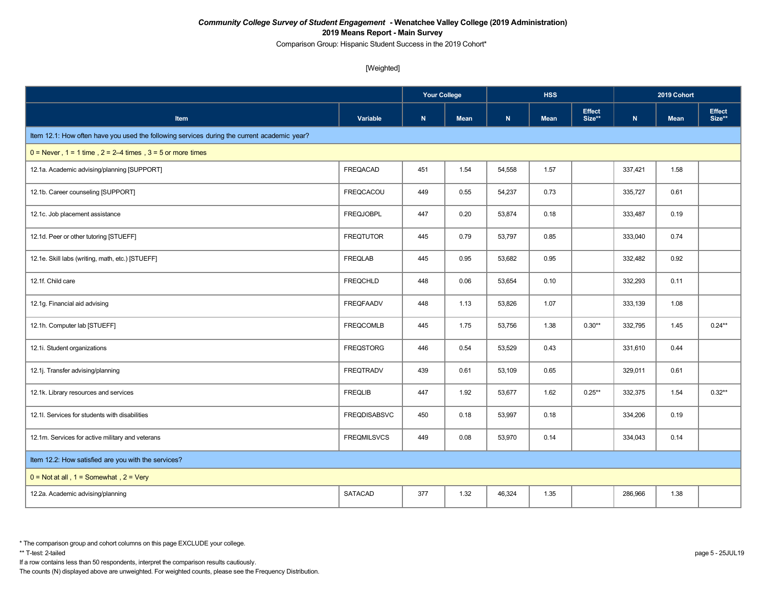Comparison Group: Hispanic Student Success in the 2019 Cohort\*

[Weighted]

|                                                                                             |                     |     | <b>Your College</b> |        | <b>HSS</b>  |                         | 2019 Cohort |             |                         |
|---------------------------------------------------------------------------------------------|---------------------|-----|---------------------|--------|-------------|-------------------------|-------------|-------------|-------------------------|
| <b>Item</b>                                                                                 | Variable            | N   | <b>Mean</b>         | N      | <b>Mean</b> | <b>Effect</b><br>Size** | N           | <b>Mean</b> | <b>Effect</b><br>Size** |
| Item 12.1: How often have you used the following services during the current academic year? |                     |     |                     |        |             |                         |             |             |                         |
| $0 =$ Never, $1 = 1$ time, $2 = 2-4$ times, $3 = 5$ or more times                           |                     |     |                     |        |             |                         |             |             |                         |
| 12.1a. Academic advising/planning [SUPPORT]                                                 | <b>FREQACAD</b>     | 451 | 1.54                | 54,558 | 1.57        |                         | 337,421     | 1.58        |                         |
| 12.1b. Career counseling [SUPPORT]                                                          | <b>FREQCACOU</b>    | 449 | 0.55                | 54,237 | 0.73        |                         | 335,727     | 0.61        |                         |
| 12.1c. Job placement assistance                                                             | <b>FREQJOBPL</b>    | 447 | 0.20                | 53,874 | 0.18        |                         | 333,487     | 0.19        |                         |
| 12.1d. Peer or other tutoring [STUEFF]                                                      | <b>FREQTUTOR</b>    | 445 | 0.79                | 53,797 | 0.85        |                         | 333,040     | 0.74        |                         |
| 12.1e. Skill labs (writing, math, etc.) [STUEFF]                                            | <b>FREQLAB</b>      | 445 | 0.95                | 53,682 | 0.95        |                         | 332,482     | 0.92        |                         |
| 12.1f. Child care                                                                           | <b>FREQCHLD</b>     | 448 | 0.06                | 53,654 | 0.10        |                         | 332,293     | 0.11        |                         |
| 12.1g. Financial aid advising                                                               | <b>FREQFAADV</b>    | 448 | 1.13                | 53,826 | 1.07        |                         | 333,139     | 1.08        |                         |
| 12.1h. Computer lab [STUEFF]                                                                | <b>FREQCOMLB</b>    | 445 | 1.75                | 53,756 | 1.38        | $0.30**$                | 332,795     | 1.45        | $0.24***$               |
| 12.1i. Student organizations                                                                | <b>FREQSTORG</b>    | 446 | 0.54                | 53,529 | 0.43        |                         | 331,610     | 0.44        |                         |
| 12.1j. Transfer advising/planning                                                           | <b>FREQTRADV</b>    | 439 | 0.61                | 53,109 | 0.65        |                         | 329,011     | 0.61        |                         |
| 12.1k. Library resources and services                                                       | <b>FREQLIB</b>      | 447 | 1.92                | 53,677 | 1.62        | $0.25**$                | 332,375     | 1.54        | $0.32**$                |
| 12.1I. Services for students with disabilities                                              | <b>FREQDISABSVC</b> | 450 | 0.18                | 53,997 | 0.18        |                         | 334,206     | 0.19        |                         |
| 12.1m. Services for active military and veterans                                            | <b>FREQMILSVCS</b>  | 449 | 0.08                | 53,970 | 0.14        |                         | 334,043     | 0.14        |                         |
| Item 12.2: How satisfied are you with the services?                                         |                     |     |                     |        |             |                         |             |             |                         |
| $0 = Not at all$ , $1 = Somewhat$ , $2 = Very$                                              |                     |     |                     |        |             |                         |             |             |                         |
| 12.2a. Academic advising/planning                                                           | <b>SATACAD</b>      | 377 | 1.32                | 46,324 | 1.35        |                         | 286,966     | 1.38        |                         |

\*\* T-test: 2-tailed page 5 - 25JUL19

If a row contains less than 50 respondents, interpret the comparison results cautiously.

<sup>\*</sup> The comparison group and cohort columns on this page EXCLUDE your college.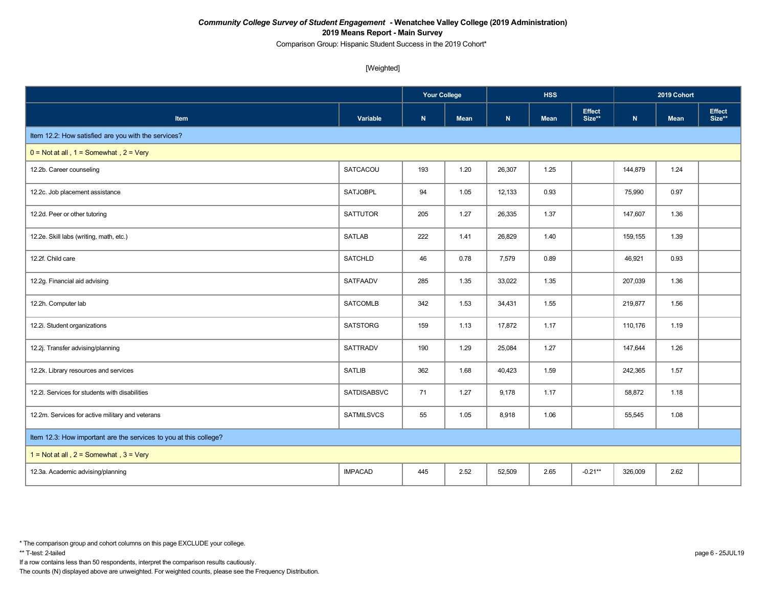Comparison Group: Hispanic Student Success in the 2019 Cohort\*

[Weighted]

|                                                                   |                    |           |             |             | <b>HSS</b>  |                         | 2019 Cohort |      |                         |
|-------------------------------------------------------------------|--------------------|-----------|-------------|-------------|-------------|-------------------------|-------------|------|-------------------------|
| Item                                                              | Variable           | ${\bf N}$ | <b>Mean</b> | $\mathbf N$ | <b>Mean</b> | <b>Effect</b><br>Size** | ${\sf N}$   | Mean | <b>Effect</b><br>Size** |
| Item 12.2: How satisfied are you with the services?               |                    |           |             |             |             |                         |             |      |                         |
| $0 = Not at all$ , $1 = Somewhat$ , $2 = Very$                    |                    |           |             |             |             |                         |             |      |                         |
| 12.2b. Career counseling                                          | SATCACOU           | 193       | 1.20        | 26,307      | 1.25        |                         | 144,879     | 1.24 |                         |
| 12.2c. Job placement assistance                                   | <b>SATJOBPL</b>    | 94        | 1.05        | 12,133      | 0.93        |                         | 75,990      | 0.97 |                         |
| 12.2d. Peer or other tutoring                                     | <b>SATTUTOR</b>    | 205       | 1.27        | 26,335      | 1.37        |                         | 147,607     | 1.36 |                         |
| 12.2e. Skill labs (writing, math, etc.)                           | <b>SATLAB</b>      | 222       | 1.41        | 26,829      | 1.40        |                         | 159,155     | 1.39 |                         |
| 12.2f. Child care                                                 | <b>SATCHLD</b>     | 46        | 0.78        | 7,579       | 0.89        |                         | 46,921      | 0.93 |                         |
| 12.2g. Financial aid advising                                     | SATFAADV           | 285       | 1.35        | 33,022      | 1.35        |                         | 207,039     | 1.36 |                         |
| 12.2h. Computer lab                                               | <b>SATCOMLB</b>    | 342       | 1.53        | 34,431      | 1.55        |                         | 219,877     | 1.56 |                         |
| 12.2i. Student organizations                                      | <b>SATSTORG</b>    | 159       | 1.13        | 17,872      | 1.17        |                         | 110,176     | 1.19 |                         |
| 12.2j. Transfer advising/planning                                 | <b>SATTRADV</b>    | 190       | 1.29        | 25,084      | 1.27        |                         | 147,644     | 1.26 |                         |
| 12.2k. Library resources and services                             | <b>SATLIB</b>      | 362       | 1.68        | 40,423      | 1.59        |                         | 242,365     | 1.57 |                         |
| 12.2l. Services for students with disabilities                    | <b>SATDISABSVC</b> | 71        | 1.27        | 9,178       | 1.17        |                         | 58,872      | 1.18 |                         |
| 12.2m. Services for active military and veterans                  | SATMILSVCS         | 55        | 1.05        | 8,918       | 1.06        |                         | 55,545      | 1.08 |                         |
| Item 12.3: How important are the services to you at this college? |                    |           |             |             |             |                         |             |      |                         |
| 1 = Not at all, $2 =$ Somewhat, $3 =$ Very                        |                    |           |             |             |             |                         |             |      |                         |
| 12.3a. Academic advising/planning                                 | <b>IMPACAD</b>     | 445       | 2.52        | 52,509      | 2.65        | $-0.21**$               | 326,009     | 2.62 |                         |

If a row contains less than 50 respondents, interpret the comparison results cautiously.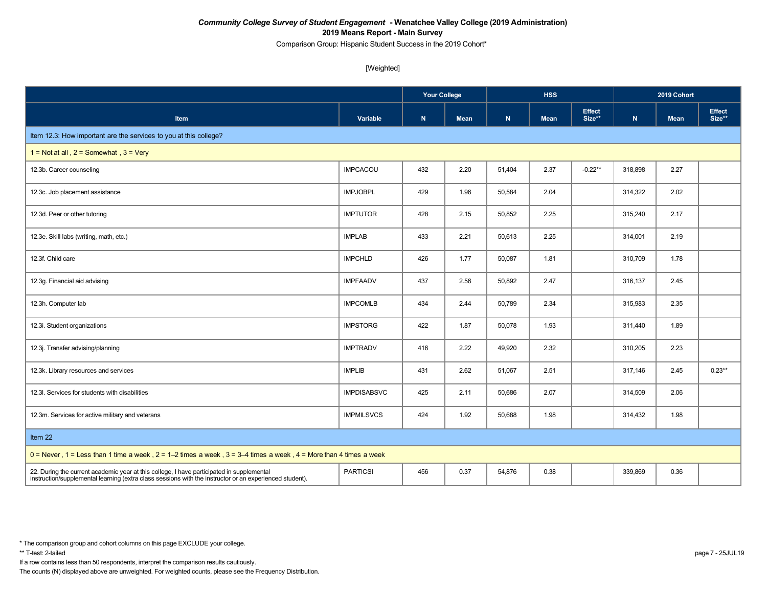Comparison Group: Hispanic Student Success in the 2019 Cohort\*

[Weighted]

|                                                                                                                                                                                                      |                    |           |             | <b>HSS</b>  |             |                         | 2019 Cohort |             |                         |
|------------------------------------------------------------------------------------------------------------------------------------------------------------------------------------------------------|--------------------|-----------|-------------|-------------|-------------|-------------------------|-------------|-------------|-------------------------|
| Item                                                                                                                                                                                                 | Variable           | ${\sf N}$ | <b>Mean</b> | $\mathbf N$ | <b>Mean</b> | <b>Effect</b><br>Size** | $\mathbf N$ | <b>Mean</b> | <b>Effect</b><br>Size** |
| Item 12.3: How important are the services to you at this college?                                                                                                                                    |                    |           |             |             |             |                         |             |             |                         |
| 1 = Not at all, $2 =$ Somewhat, $3 =$ Very                                                                                                                                                           |                    |           |             |             |             |                         |             |             |                         |
| 12.3b. Career counseling                                                                                                                                                                             | <b>IMPCACOU</b>    | 432       | 2.20        | 51,404      | 2.37        | $-0.22**$               | 318,898     | 2.27        |                         |
| 12.3c. Job placement assistance                                                                                                                                                                      | <b>IMPJOBPL</b>    | 429       | 1.96        | 50,584      | 2.04        |                         | 314,322     | 2.02        |                         |
| 12.3d. Peer or other tutoring                                                                                                                                                                        | <b>IMPTUTOR</b>    | 428       | 2.15        | 50,852      | 2.25        |                         | 315,240     | 2.17        |                         |
| 12.3e. Skill labs (writing, math, etc.)                                                                                                                                                              | <b>IMPLAB</b>      | 433       | 2.21        | 50,613      | 2.25        |                         | 314,001     | 2.19        |                         |
| 12.3f. Child care                                                                                                                                                                                    | <b>IMPCHLD</b>     | 426       | 1.77        | 50,087      | 1.81        |                         | 310,709     | 1.78        |                         |
| 12.3g. Financial aid advising                                                                                                                                                                        | <b>IMPFAADV</b>    | 437       | 2.56        | 50,892      | 2.47        |                         | 316,137     | 2.45        |                         |
| 12.3h. Computer lab                                                                                                                                                                                  | <b>IMPCOMLB</b>    | 434       | 2.44        | 50,789      | 2.34        |                         | 315,983     | 2.35        |                         |
| 12.3i. Student organizations                                                                                                                                                                         | <b>IMPSTORG</b>    | 422       | 1.87        | 50,078      | 1.93        |                         | 311,440     | 1.89        |                         |
| 12.3j. Transfer advising/planning                                                                                                                                                                    | <b>IMPTRADV</b>    | 416       | 2.22        | 49,920      | 2.32        |                         | 310,205     | 2.23        |                         |
| 12.3k. Library resources and services                                                                                                                                                                | <b>IMPLIB</b>      | 431       | 2.62        | 51,067      | 2.51        |                         | 317,146     | 2.45        | $0.23**$                |
| 12.3I. Services for students with disabilities                                                                                                                                                       | <b>IMPDISABSVC</b> | 425       | 2.11        | 50,686      | 2.07        |                         | 314,509     | 2.06        |                         |
| 12.3m. Services for active military and veterans                                                                                                                                                     | <b>IMPMILSVCS</b>  | 424       | 1.92        | 50,688      | 1.98        |                         | 314,432     | 1.98        |                         |
| Item 22                                                                                                                                                                                              |                    |           |             |             |             |                         |             |             |                         |
| $0 =$ Never, 1 = Less than 1 time a week, 2 = 1–2 times a week, 3 = 3–4 times a week, 4 = More than 4 times a week                                                                                   |                    |           |             |             |             |                         |             |             |                         |
| 22. During the current academic year at this college, I have participated in supplemental<br>instruction/supplemental learning (extra class sessions with the instructor or an experienced student). | <b>PARTICSI</b>    | 456       | 0.37        | 54,876      | 0.38        |                         | 339,869     | 0.36        |                         |

If a row contains less than 50 respondents, interpret the comparison results cautiously.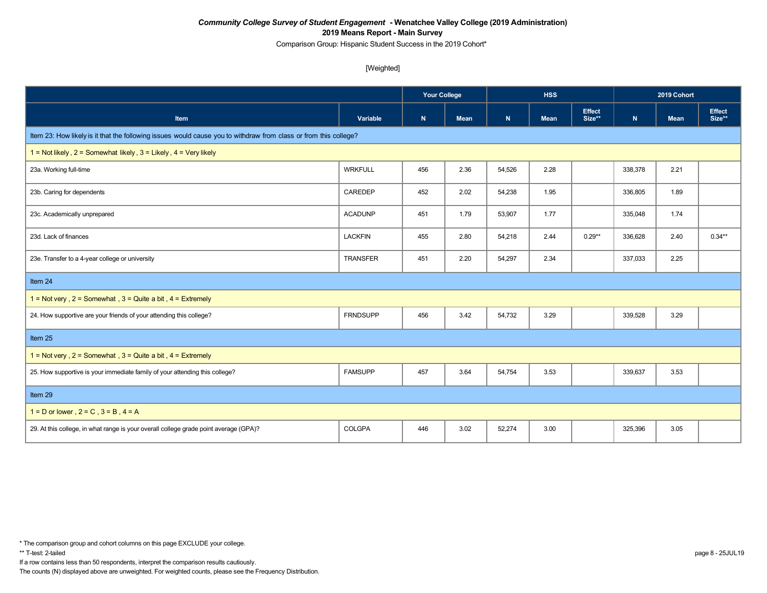Comparison Group: Hispanic Student Success in the 2019 Cohort\*

[Weighted]

|                                                                                                                  |                 |           |             |              | <b>HSS</b>  |                         | 2019 Cohort |      |                         |
|------------------------------------------------------------------------------------------------------------------|-----------------|-----------|-------------|--------------|-------------|-------------------------|-------------|------|-------------------------|
| Item                                                                                                             | Variable        | ${\bf N}$ | <b>Mean</b> | $\mathbf{N}$ | <b>Mean</b> | <b>Effect</b><br>Size** | ${\bf N}$   | Mean | <b>Effect</b><br>Size** |
| Item 23: How likely is it that the following issues would cause you to withdraw from class or from this college? |                 |           |             |              |             |                         |             |      |                         |
| 1 = Not likely, $2 =$ Somewhat likely, $3 =$ Likely, $4 =$ Very likely                                           |                 |           |             |              |             |                         |             |      |                         |
| 23a. Working full-time                                                                                           | <b>WRKFULL</b>  | 456       | 2.36        | 54,526       | 2.28        |                         | 338,378     | 2.21 |                         |
| 23b. Caring for dependents                                                                                       | CAREDEP         | 452       | 2.02        | 54,238       | 1.95        |                         | 336,805     | 1.89 |                         |
| 23c. Academically unprepared                                                                                     | <b>ACADUNP</b>  | 451       | 1.79        | 53,907       | 1.77        |                         | 335,048     | 1.74 |                         |
| 23d. Lack of finances                                                                                            | <b>LACKFIN</b>  | 455       | 2.80        | 54,218       | 2.44        | $0.29**$                | 336,628     | 2.40 | $0.34**$                |
| 23e. Transfer to a 4-year college or university                                                                  | <b>TRANSFER</b> | 451       | 2.20        | 54,297       | 2.34        |                         | 337,033     | 2.25 |                         |
| Item 24                                                                                                          |                 |           |             |              |             |                         |             |      |                         |
| 1 = Not very, $2 =$ Somewhat, $3 =$ Quite a bit, $4 =$ Extremely                                                 |                 |           |             |              |             |                         |             |      |                         |
| 24. How supportive are your friends of your attending this college?                                              | <b>FRNDSUPP</b> | 456       | 3.42        | 54,732       | 3.29        |                         | 339,528     | 3.29 |                         |
| Item 25                                                                                                          |                 |           |             |              |             |                         |             |      |                         |
| $1 = Not very$ , $2 = Somewhat$ , $3 = Quite$ a bit, $4 = Extremely$                                             |                 |           |             |              |             |                         |             |      |                         |
| 25. How supportive is your immediate family of your attending this college?                                      | <b>FAMSUPP</b>  | 457       | 3.64        | 54,754       | 3.53        |                         | 339,637     | 3.53 |                         |
| Item 29                                                                                                          |                 |           |             |              |             |                         |             |      |                         |
| $1 = D$ or lower, $2 = C$ , $3 = B$ , $4 = A$                                                                    |                 |           |             |              |             |                         |             |      |                         |
| 29. At this college, in what range is your overall college grade point average (GPA)?                            | COLGPA          | 446       | 3.02        | 52,274       | 3.00        |                         | 325,396     | 3.05 |                         |

If a row contains less than 50 respondents, interpret the comparison results cautiously.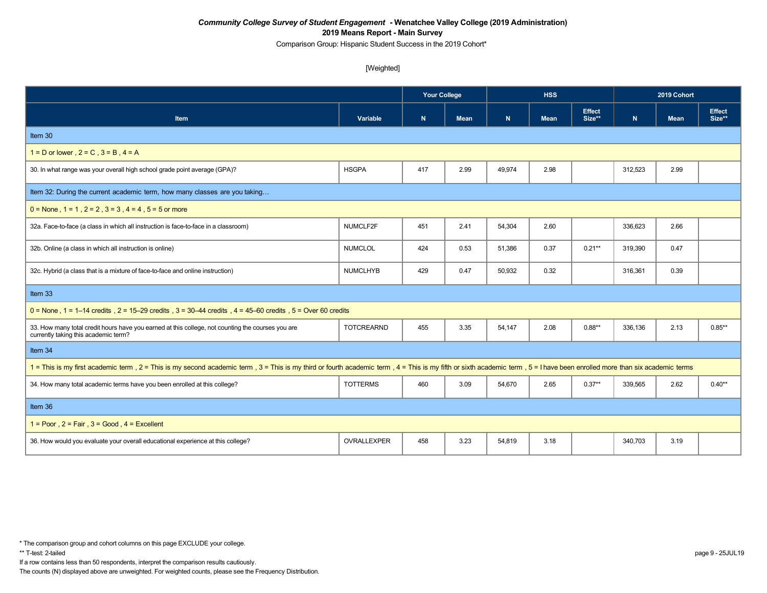Comparison Group: Hispanic Student Success in the 2019 Cohort\*

#### [Weighted]

|                                                                                                                                                                                                                           |                   | <b>Your College</b> |             |        | <b>HSS</b>  |                         |              | 2019 Cohort |                         |
|---------------------------------------------------------------------------------------------------------------------------------------------------------------------------------------------------------------------------|-------------------|---------------------|-------------|--------|-------------|-------------------------|--------------|-------------|-------------------------|
| Item                                                                                                                                                                                                                      | Variable          | $\mathbf N$         | <b>Mean</b> | N      | <b>Mean</b> | <b>Effect</b><br>Size** | $\mathsf{N}$ | <b>Mean</b> | <b>Effect</b><br>Size** |
| Item 30                                                                                                                                                                                                                   |                   |                     |             |        |             |                         |              |             |                         |
| $1 = D$ or lower, $2 = C$ , $3 = B$ , $4 = A$                                                                                                                                                                             |                   |                     |             |        |             |                         |              |             |                         |
| 30. In what range was your overall high school grade point average (GPA)?                                                                                                                                                 | <b>HSGPA</b>      | 417                 | 2.99        | 49,974 | 2.98        |                         | 312,523      | 2.99        |                         |
| Item 32: During the current academic term, how many classes are you taking                                                                                                                                                |                   |                     |             |        |             |                         |              |             |                         |
| $0 =$ None $1 = 1$ , $2 = 2$ , $3 = 3$ , $4 = 4$ , $5 = 5$ or more                                                                                                                                                        |                   |                     |             |        |             |                         |              |             |                         |
| 32a. Face-to-face (a class in which all instruction is face-to-face in a classroom)                                                                                                                                       | NUMCLF2F          | 451                 | 2.41        | 54,304 | 2.60        |                         | 336,623      | 2.66        |                         |
| 32b. Online (a class in which all instruction is online)                                                                                                                                                                  | <b>NUMCLOL</b>    | 424                 | 0.53        | 51,386 | 0.37        | $0.21**$                | 319,390      | 0.47        |                         |
| 32c. Hybrid (a class that is a mixture of face-to-face and online instruction)                                                                                                                                            | <b>NUMCLHYB</b>   | 429                 | 0.47        | 50,932 | 0.32        |                         | 316,361      | 0.39        |                         |
| Item 33                                                                                                                                                                                                                   |                   |                     |             |        |             |                         |              |             |                         |
| $0 =$ None, 1 = 1–14 credits, 2 = 15–29 credits, 3 = 30–44 credits, 4 = 45–60 credits, 5 = Over 60 credits                                                                                                                |                   |                     |             |        |             |                         |              |             |                         |
| 33. How many total credit hours have you earned at this college, not counting the courses you are<br>currently taking this academic term?                                                                                 | <b>TOTCREARND</b> | 455                 | 3.35        | 54,147 | 2.08        | $0.88**$                | 336,136      | 2.13        | $0.85**$                |
| Item 34                                                                                                                                                                                                                   |                   |                     |             |        |             |                         |              |             |                         |
| 1 = This is my first academic term, 2 = This is my second academic term, 3 = This is my third or fourth academic term, 4 = This is my fifth or sixth academic term, 5 = I have been enrolled more than six academic terms |                   |                     |             |        |             |                         |              |             |                         |
| 34. How many total academic terms have you been enrolled at this college?                                                                                                                                                 | <b>TOTTERMS</b>   | 460                 | 3.09        | 54,670 | 2.65        | $0.37**$                | 339.565      | 2.62        | $0.40**$                |
| Item 36                                                                                                                                                                                                                   |                   |                     |             |        |             |                         |              |             |                         |
| $1 =$ Poor $.2 =$ Fair $.3 =$ Good $.4 =$ Excellent                                                                                                                                                                       |                   |                     |             |        |             |                         |              |             |                         |
| 36. How would you evaluate your overall educational experience at this college?                                                                                                                                           | OVRALLEXPER       | 458                 | 3.23        | 54,819 | 3.18        |                         | 340,703      | 3.19        |                         |

If a row contains less than 50 respondents, interpret the comparison results cautiously.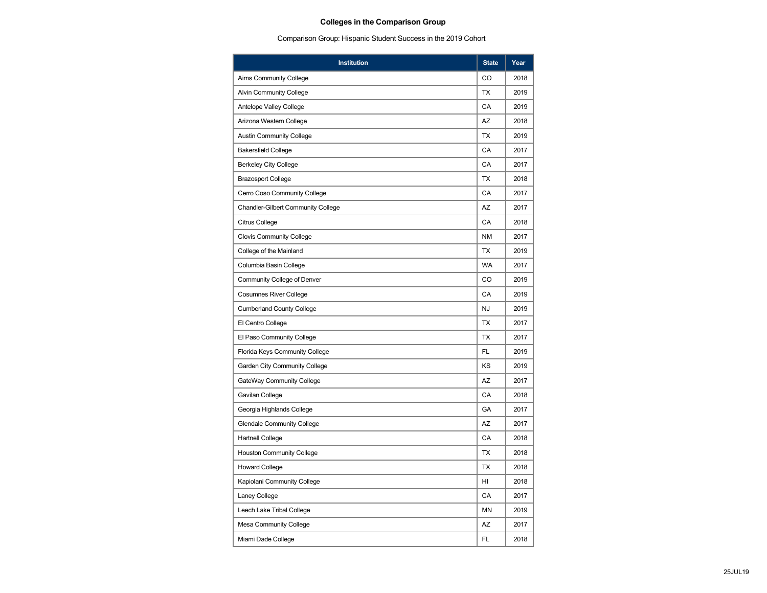# **Colleges in the Comparison Group**

Comparison Group: Hispanic Student Success in the 2019 Cohort

| <b>Institution</b>                        | <b>State</b> | Year |
|-------------------------------------------|--------------|------|
| Aims Community College                    | CO           | 2018 |
| Alvin Community College                   | <b>TX</b>    | 2019 |
| Antelope Valley College                   | CA           | 2019 |
| Arizona Western College                   | AZ           | 2018 |
| <b>Austin Community College</b>           | <b>TX</b>    | 2019 |
| <b>Bakersfield College</b>                | CA           | 2017 |
| <b>Berkeley City College</b>              | CA           | 2017 |
| <b>Brazosport College</b>                 | <b>TX</b>    | 2018 |
| Cerro Coso Community College              | CA           | 2017 |
| <b>Chandler-Gilbert Community College</b> | <b>AZ</b>    | 2017 |
| Citrus College                            | CA           | 2018 |
| <b>Clovis Community College</b>           | <b>NM</b>    | 2017 |
| College of the Mainland                   | TX           | 2019 |
| Columbia Basin College                    | <b>WA</b>    | 2017 |
| Community College of Denver               | CO           | 2019 |
| <b>Cosumnes River College</b>             | CA           | 2019 |
| <b>Cumberland County College</b>          | <b>NJ</b>    | 2019 |
| El Centro College                         | <b>TX</b>    | 2017 |
| El Paso Community College                 | <b>TX</b>    | 2017 |
| Florida Keys Community College            | FL           | 2019 |
| Garden City Community College             | KS           | 2019 |
| GateWay Community College                 | AZ           | 2017 |
| Gavilan College                           | CA           | 2018 |
| Georgia Highlands College                 | GA           | 2017 |
| <b>Glendale Community College</b>         | AZ           | 2017 |
| Hartnell College                          | CA           | 2018 |
| <b>Houston Community College</b>          | TX           | 2018 |
| <b>Howard College</b>                     | <b>TX</b>    | 2018 |
| Kapiolani Community College               | HI           | 2018 |
| Laney College                             | CA           | 2017 |
| Leech Lake Tribal College                 | <b>MN</b>    | 2019 |
| Mesa Community College                    | AZ           | 2017 |
| Miami Dade College                        | FL           | 2018 |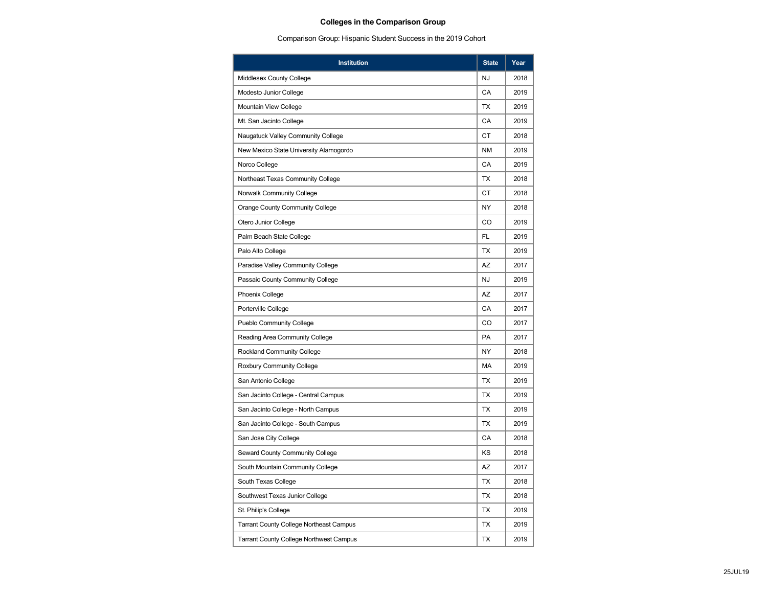# **Colleges in the Comparison Group**

Comparison Group: Hispanic Student Success in the 2019 Cohort

| <b>Institution</b>                             | <b>State</b> | Year |
|------------------------------------------------|--------------|------|
| Middlesex County College                       | <b>NJ</b>    | 2018 |
| Modesto Junior College                         | CA           | 2019 |
| Mountain View College                          | ТX           | 2019 |
| Mt. San Jacinto College                        | CA           | 2019 |
| Naugatuck Valley Community College             | <b>CT</b>    | 2018 |
| New Mexico State University Alamogordo         | <b>NM</b>    | 2019 |
| Norco College                                  | CA           | 2019 |
| Northeast Texas Community College              | <b>TX</b>    | 2018 |
| Norwalk Community College                      | СT           | 2018 |
| Orange County Community College                | <b>NY</b>    | 2018 |
| Otero Junior College                           | CO           | 2019 |
| Palm Beach State College                       | FL           | 2019 |
| Palo Alto College                              | TX           | 2019 |
| Paradise Valley Community College              | AZ           | 2017 |
| Passaic County Community College               | NJ           | 2019 |
| <b>Phoenix College</b>                         | <b>AZ</b>    | 2017 |
| Porterville College                            | CA           | 2017 |
| <b>Pueblo Community College</b>                | CO           | 2017 |
| Reading Area Community College                 | PA           | 2017 |
| <b>Rockland Community College</b>              | ΝY           | 2018 |
| Roxbury Community College                      | MA           | 2019 |
| San Antonio College                            | <b>TX</b>    | 2019 |
| San Jacinto College - Central Campus           | ТX           | 2019 |
| San Jacinto College - North Campus             | TX           | 2019 |
| San Jacinto College - South Campus             | TX           | 2019 |
| San Jose City College                          | CA           | 2018 |
| Seward County Community College                | KS           | 2018 |
| South Mountain Community College               | AZ           | 2017 |
| South Texas College                            | ТX           | 2018 |
| Southwest Texas Junior College                 | TX           | 2018 |
| St. Philip's College                           | <b>TX</b>    | 2019 |
| <b>Tarrant County College Northeast Campus</b> | <b>TX</b>    | 2019 |
| <b>Tarrant County College Northwest Campus</b> | TX           | 2019 |